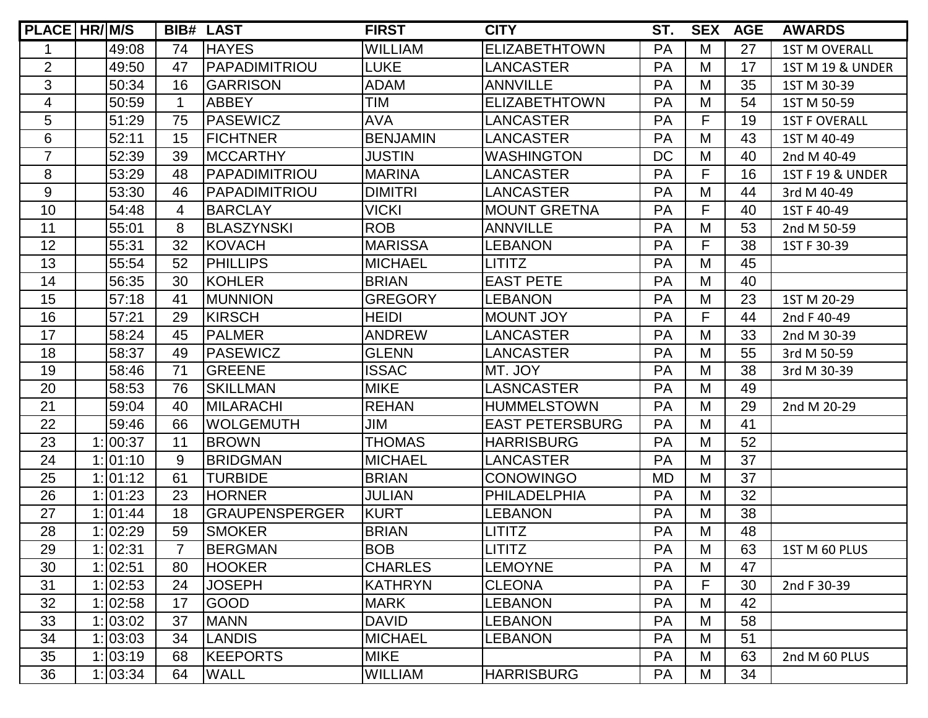| PLACE HR/M/S   |          |                          | <b>BIB# LAST</b>      | <b>FIRST</b>    | <b>CITY</b>            | ST.       | <b>SEX</b> | <b>AGE</b> | <b>AWARDS</b>               |
|----------------|----------|--------------------------|-----------------------|-----------------|------------------------|-----------|------------|------------|-----------------------------|
|                | 49:08    | 74                       | <b>HAYES</b>          | <b>WILLIAM</b>  | <b>ELIZABETHTOWN</b>   | PA        | M          | 27         | <b>1ST M OVERALL</b>        |
| $\overline{2}$ | 49:50    | 47                       | PAPADIMITRIOU         | <b>LUKE</b>     | <b>LANCASTER</b>       | PA        | M          | 17         | 1ST M 19 & UNDER            |
| 3              | 50:34    | 16                       | <b>GARRISON</b>       | <b>ADAM</b>     | <b>ANNVILLE</b>        | <b>PA</b> | M          | 35         | 1ST M 30-39                 |
| $\overline{4}$ | 50:59    | 1                        | <b>ABBEY</b>          | <b>TIM</b>      | <b>ELIZABETHTOWN</b>   | PA        | M          | 54         | 1ST M 50-59                 |
| 5              | 51:29    | 75                       | <b>PASEWICZ</b>       | <b>AVA</b>      | <b>LANCASTER</b>       | PA        | F          | 19         | <b>1ST F OVERALL</b>        |
| 6              | 52:11    | 15                       | <b>FICHTNER</b>       | <b>BENJAMIN</b> | <b>LANCASTER</b>       | PA        | M          | 43         | 1ST M 40-49                 |
| $\overline{7}$ | 52:39    | 39                       | <b>MCCARTHY</b>       | <b>JUSTIN</b>   | <b>WASHINGTON</b>      | <b>DC</b> | M          | 40         | 2nd M 40-49                 |
| 8              | 53:29    | 48                       | PAPADIMITRIOU         | <b>MARINA</b>   | <b>LANCASTER</b>       | PA        | F          | 16         | <b>1ST F 19 &amp; UNDER</b> |
| 9              | 53:30    | 46                       | PAPADIMITRIOU         | <b>DIMITRI</b>  | <b>LANCASTER</b>       | PA        | M          | 44         | 3rd M 40-49                 |
| 10             | 54:48    | 4                        | <b>BARCLAY</b>        | <b>VICKI</b>    | <b>MOUNT GRETNA</b>    | PA        | F          | 40         | 1ST F 40-49                 |
| 11             | 55:01    | 8                        | <b>BLASZYNSKI</b>     | <b>ROB</b>      | <b>ANNVILLE</b>        | PA        | M          | 53         | 2nd M 50-59                 |
| 12             | 55:31    | 32                       | <b>KOVACH</b>         | <b>MARISSA</b>  | <b>LEBANON</b>         | PA        | F          | 38         | 1ST F 30-39                 |
| 13             | 55:54    | 52                       | <b>PHILLIPS</b>       | <b>MICHAEL</b>  | <b>LITITZ</b>          | PA        | M          | 45         |                             |
| 14             | 56:35    | 30                       | <b>KOHLER</b>         | <b>BRIAN</b>    | <b>EAST PETE</b>       | PA        | M          | 40         |                             |
| 15             | 57:18    | 41                       | <b>MUNNION</b>        | <b>GREGORY</b>  | <b>LEBANON</b>         | PA        | M          | 23         | 1ST M 20-29                 |
| 16             | 57:21    | 29                       | <b>KIRSCH</b>         | <b>HEIDI</b>    | <b>MOUNT JOY</b>       | PA        | F          | 44         | 2nd F 40-49                 |
| 17             | 58:24    | 45                       | <b>PALMER</b>         | <b>ANDREW</b>   | <b>LANCASTER</b>       | PA        | M          | 33         | 2nd M 30-39                 |
| 18             | 58:37    | 49                       | <b>PASEWICZ</b>       | <b>GLENN</b>    | <b>LANCASTER</b>       | PA        | M          | 55         | 3rd M 50-59                 |
| 19             | 58:46    | 71                       | <b>GREENE</b>         | <b>ISSAC</b>    | MT. JOY                | PA        | M          | 38         | 3rd M 30-39                 |
| 20             | 58:53    | 76                       | <b>SKILLMAN</b>       | <b>MIKE</b>     | <b>LASNCASTER</b>      | PA        | M          | 49         |                             |
| 21             | 59:04    | 40                       | <b>MILARACHI</b>      | <b>REHAN</b>    | <b>HUMMELSTOWN</b>     | PA        | M          | 29         | 2nd M 20-29                 |
| 22             | 59:46    | 66                       | <b>WOLGEMUTH</b>      | JIM             | <b>EAST PETERSBURG</b> | <b>PA</b> | M          | 41         |                             |
| 23             | 1:100:37 | 11                       | <b>BROWN</b>          | <b>THOMAS</b>   | <b>HARRISBURG</b>      | PA        | M          | 52         |                             |
| 24             | 1:01:10  | 9                        | <b>BRIDGMAN</b>       | <b>MICHAEL</b>  | <b>LANCASTER</b>       | PA        | M          | 37         |                             |
| 25             | 1:101:12 | 61                       | <b>TURBIDE</b>        | <b>BRIAN</b>    | <b>CONOWINGO</b>       | <b>MD</b> | M          | 37         |                             |
| 26             | 1: 01:23 | 23                       | <b>HORNER</b>         | <b>JULIAN</b>   | <b>PHILADELPHIA</b>    | PA        | M          | 32         |                             |
| 27             | 1:101:44 | 18                       | <b>GRAUPENSPERGER</b> | <b>KURT</b>     | <b>LEBANON</b>         | <b>PA</b> | M          | 38         |                             |
| 28             | 1:02:29  | 59                       | <b>SMOKER</b>         | <b>BRIAN</b>    | <b>LITITZ</b>          | PA        | M          | 48         |                             |
| 29             | 1:02:31  | $\overline{\phantom{a}}$ | <b>BERGMAN</b>        | <b>BOB</b>      | <b>LITITZ</b>          | PA        | M          | 63         | 1ST M 60 PLUS               |
| 30             | 1:02:51  | 80                       | <b>HOOKER</b>         | <b>CHARLES</b>  | <b>LEMOYNE</b>         | PA        | M          | 47         |                             |
| 31             | 1:02:53  | 24                       | <b>JOSEPH</b>         | <b>KATHRYN</b>  | <b>CLEONA</b>          | PA        | F          | 30         | 2nd F 30-39                 |
| 32             | 1:02:58  | 17                       | <b>GOOD</b>           | <b>MARK</b>     | <b>LEBANON</b>         | PA        | M          | 42         |                             |
| 33             | 1:03:02  | 37                       | <b>MANN</b>           | <b>DAVID</b>    | <b>LEBANON</b>         | PA        | M          | 58         |                             |
| 34             | 1:03:03  | 34                       | <b>LANDIS</b>         | <b>MICHAEL</b>  | <b>LEBANON</b>         | <b>PA</b> | M          | 51         |                             |
| 35             | 1: 03:19 | 68                       | <b>KEEPORTS</b>       | <b>MIKE</b>     |                        | PA        | M          | 63         | 2nd M 60 PLUS               |
| 36             | 1:03:34  | 64                       | <b>WALL</b>           | <b>WILLIAM</b>  | <b>HARRISBURG</b>      | <b>PA</b> | M          | 34         |                             |